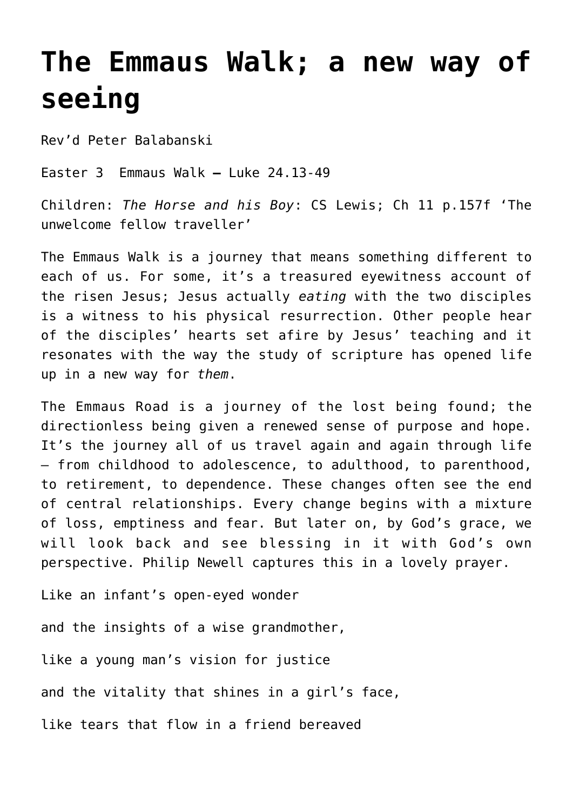## **[The Emmaus Walk; a new way of](http://stjohnsadelaide.org.au/the-emmaus-walk-a-new-way-of-seeing/) [seeing](http://stjohnsadelaide.org.au/the-emmaus-walk-a-new-way-of-seeing/)**

Rev'd Peter Balabanski

Easter 3 Emmaus Walk **–** Luke 24.13-49

Children: *The Horse and his Boy*: CS Lewis; Ch 11 p.157f 'The unwelcome fellow traveller'

The Emmaus Walk is a journey that means something different to each of us. For some, it's a treasured eyewitness account of the risen Jesus; Jesus actually *eating* with the two disciples is a witness to his physical resurrection. Other people hear of the disciples' hearts set afire by Jesus' teaching and it resonates with the way the study of scripture has opened life up in a new way for *them*.

The Emmaus Road is a journey of the lost being found; the directionless being given a renewed sense of purpose and hope. It's the journey all of us travel again and again through life – from childhood to adolescence, to adulthood, to parenthood, to retirement, to dependence. These changes often see the end of central relationships. Every change begins with a mixture of loss, emptiness and fear. But later on, by God's grace, we will look back and see blessing in it with God's own perspective. Philip Newell captures this in a lovely prayer.

Like an infant's open-eyed wonder

and the insights of a wise grandmother,

like a young man's vision for justice

and the vitality that shines in a girl's face,

like tears that flow in a friend bereaved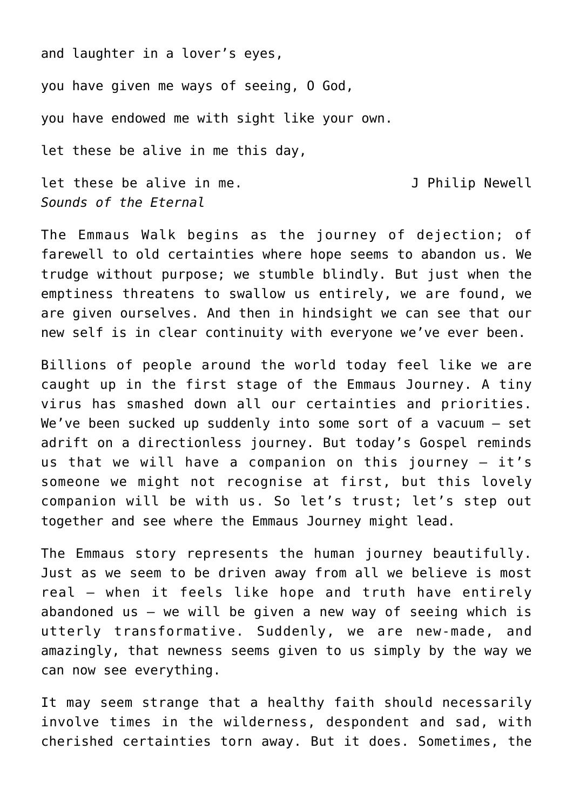and laughter in a lover's eyes,

you have given me ways of seeing, O God,

you have endowed me with sight like your own.

let these be alive in me this day,

let these be alive in me.<br> **J** Philip Newell *Sounds of the Eternal*

The Emmaus Walk begins as the journey of dejection; of farewell to old certainties where hope seems to abandon us. We trudge without purpose; we stumble blindly. But just when the emptiness threatens to swallow us entirely, we are found, we are given ourselves. And then in hindsight we can see that our new self is in clear continuity with everyone we've ever been.

Billions of people around the world today feel like we are caught up in the first stage of the Emmaus Journey. A tiny virus has smashed down all our certainties and priorities. We've been sucked up suddenly into some sort of a vacuum – set adrift on a directionless journey. But today's Gospel reminds us that we will have a companion on this journey – it's someone we might not recognise at first, but this lovely companion will be with us. So let's trust; let's step out together and see where the Emmaus Journey might lead.

The Emmaus story represents the human journey beautifully. Just as we seem to be driven away from all we believe is most real – when it feels like hope and truth have entirely abandoned us – we will be given a new way of seeing which is utterly transformative. Suddenly, we are new-made, and amazingly, that newness seems given to us simply by the way we can now see everything.

It may seem strange that a healthy faith should necessarily involve times in the wilderness, despondent and sad, with cherished certainties torn away. But it does. Sometimes, the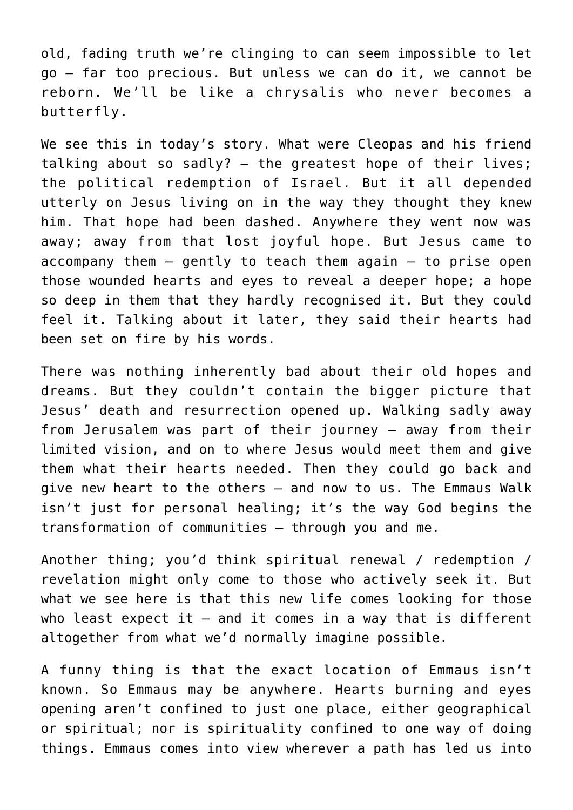old, fading truth we're clinging to can seem impossible to let go – far too precious. But unless we can do it, we cannot be reborn. We'll be like a chrysalis who never becomes a butterfly.

We see this in today's story. What were Cleopas and his friend talking about so sadly? – the greatest hope of their lives; the political redemption of Israel. But it all depended utterly on Jesus living on in the way they thought they knew him. That hope had been dashed. Anywhere they went now was away; away from that lost joyful hope. But Jesus came to  $accompany$  them  $-$  gently to teach them again  $-$  to prise open those wounded hearts and eyes to reveal a deeper hope; a hope so deep in them that they hardly recognised it. But they could feel it. Talking about it later, they said their hearts had been set on fire by his words.

There was nothing inherently bad about their old hopes and dreams. But they couldn't contain the bigger picture that Jesus' death and resurrection opened up. Walking sadly away from Jerusalem was part of their journey – away from their limited vision, and on to where Jesus would meet them and give them what their hearts needed. Then they could go back and give new heart to the others – and now to us. The Emmaus Walk isn't just for personal healing; it's the way God begins the transformation of communities – through you and me.

Another thing; you'd think spiritual renewal / redemption / revelation might only come to those who actively seek it. But what we see here is that this new life comes looking for those who least expect it  $-$  and it comes in a way that is different altogether from what we'd normally imagine possible.

A funny thing is that the exact location of Emmaus isn't known. So Emmaus may be anywhere. Hearts burning and eyes opening aren't confined to just one place, either geographical or spiritual; nor is spirituality confined to one way of doing things. Emmaus comes into view wherever a path has led us into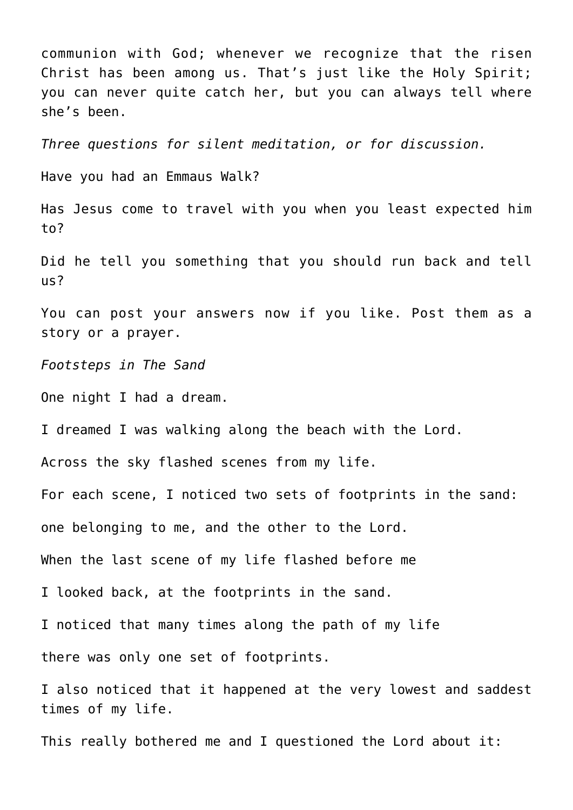communion with God; whenever we recognize that the risen Christ has been among us. That's just like the Holy Spirit; you can never quite catch her, but you can always tell where she's been.

*Three questions for silent meditation, or for discussion.*

Have you had an Emmaus Walk?

Has Jesus come to travel with you when you least expected him to?

Did he tell you something that you should run back and tell us?

You can post your answers now if you like. Post them as a story or a prayer.

*Footsteps in The Sand*

One night I had a dream.

I dreamed I was walking along the beach with the Lord.

Across the sky flashed scenes from my life.

For each scene, I noticed two sets of footprints in the sand:

one belonging to me, and the other to the Lord.

When the last scene of my life flashed before me

I looked back, at the footprints in the sand.

I noticed that many times along the path of my life

there was only one set of footprints.

I also noticed that it happened at the very lowest and saddest times of my life.

This really bothered me and I questioned the Lord about it: